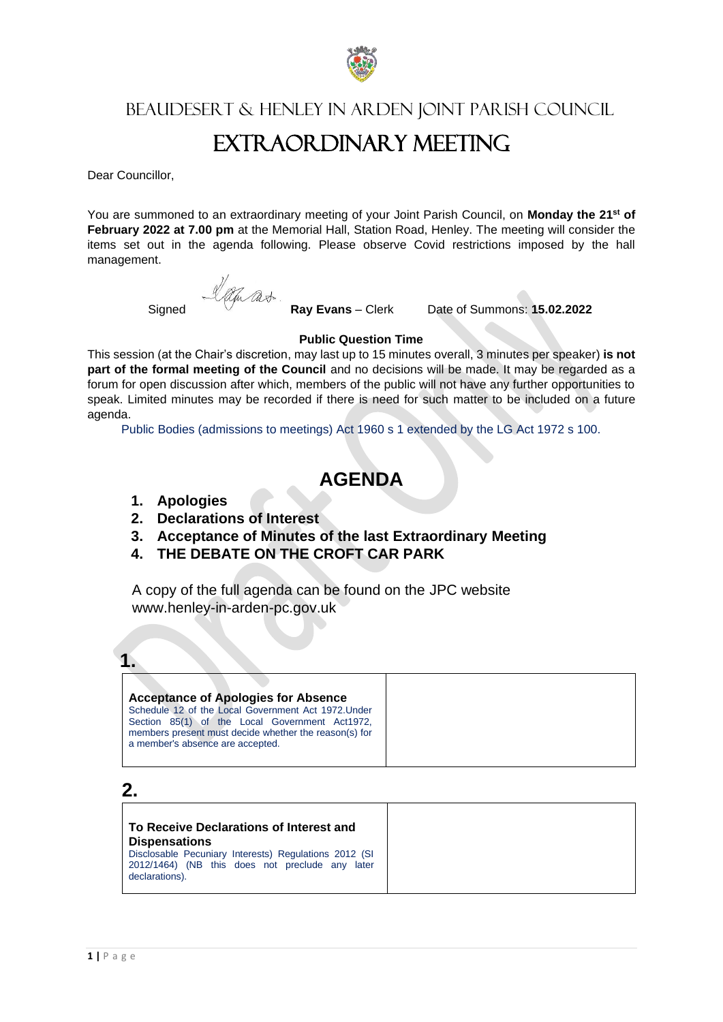

Beaudesert & Henley in Arden Joint Parish Council

# EXTR AOR DINARY MEETING

Dear Councillor,

You are summoned to an extraordinary meeting of your Joint Parish Council, on **Monday the 21st of February 2022 at 7.00 pm** at the Memorial Hall, Station Road, Henley. The meeting will consider the items set out in the agenda following. Please observe Covid restrictions imposed by the hall management.

Signed *Ray* Evans – Clerk Date of Summons: **15.02.2022** 

### **Public Question Time**

This session (at the Chair's discretion, may last up to 15 minutes overall, 3 minutes per speaker) **is not part of the formal meeting of the Council** and no decisions will be made. It may be regarded as a forum for open discussion after which, members of the public will not have any further opportunities to speak. Limited minutes may be recorded if there is need for such matter to be included on a future agenda.

Public Bodies (admissions to meetings) Act 1960 s 1 extended by the LG Act 1972 s 100.

### **AGENDA**

- **1. Apologies**
- **2. Declarations of Interest**
- **3. Acceptance of Minutes of the last Extraordinary Meeting**
- **4. THE DEBATE ON THE CROFT CAR PARK**

A copy of the full agenda can be found on the JPC website www.henley-in-arden-pc.gov.uk



**Acceptance of Apologies for Absence** Schedule 12 of the Local Government Act 1972.Under Section 85(1) of the Local Government Act1972, members present must decide whether the reason(s) for a member's absence are accepted.

**2.**

### **To Receive Declarations of Interest and Dispensations** Disclosable Pecuniary Interests) Regulations 2012 (SI 2012/1464) (NB this does not preclude any later declarations).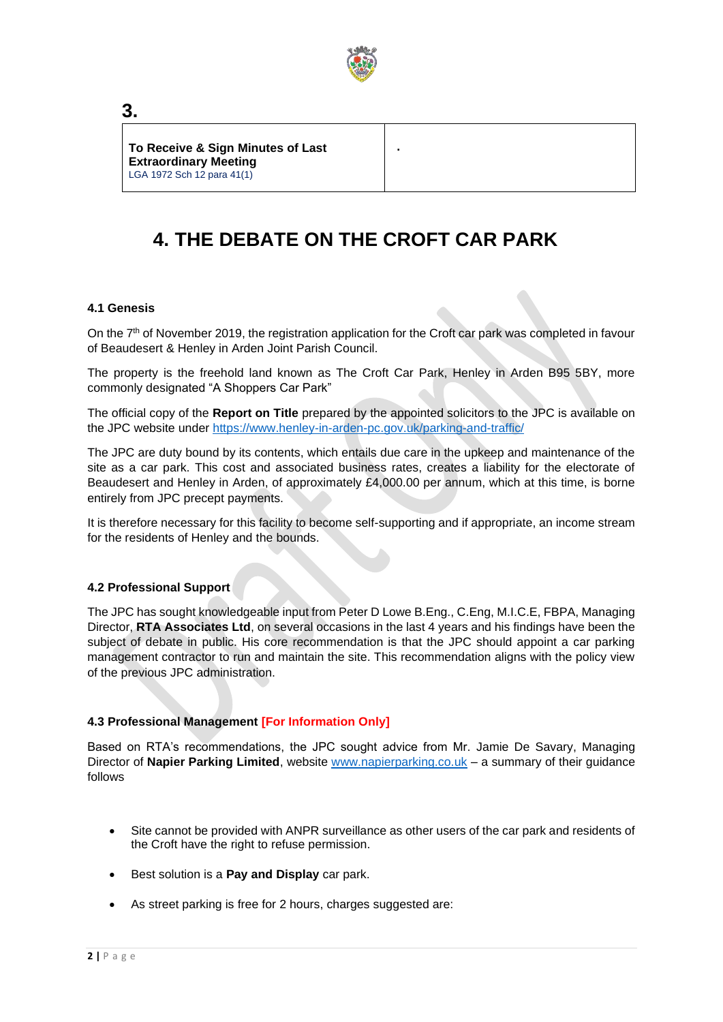

**.**

**To Receive & Sign Minutes of Last Extraordinary Meeting** LGA 1972 Sch 12 para 41(1)

## **4. THE DEBATE ON THE CROFT CAR PARK**

### **4.1 Genesis**

On the 7<sup>th</sup> of November 2019, the registration application for the Croft car park was completed in favour of Beaudesert & Henley in Arden Joint Parish Council.

The property is the freehold land known as The Croft Car Park, Henley in Arden B95 5BY, more commonly designated "A Shoppers Car Park"

The official copy of the **Report on Title** prepared by the appointed solicitors to the JPC is available on the JPC website under<https://www.henley-in-arden-pc.gov.uk/parking-and-traffic/>

The JPC are duty bound by its contents, which entails due care in the upkeep and maintenance of the site as a car park. This cost and associated business rates, creates a liability for the electorate of Beaudesert and Henley in Arden, of approximately £4,000.00 per annum, which at this time, is borne entirely from JPC precept payments.

It is therefore necessary for this facility to become self-supporting and if appropriate, an income stream for the residents of Henley and the bounds.

### **4.2 Professional Support**

The JPC has sought knowledgeable input from Peter D Lowe B.Eng., C.Eng, M.I.C.E, FBPA, Managing Director, **RTA Associates Ltd**, on several occasions in the last 4 years and his findings have been the subject of debate in public. His core recommendation is that the JPC should appoint a car parking management contractor to run and maintain the site. This recommendation aligns with the policy view of the previous JPC administration.

### **4.3 Professional Management [For Information Only]**

Based on RTA's recommendations, the JPC sought advice from Mr. Jamie De Savary, Managing Director of Napier Parking Limited, website [www.napierparking.co.uk](http://www.napierparking.co.uk/) - a summary of their guidance follows

- Site cannot be provided with ANPR surveillance as other users of the car park and residents of the Croft have the right to refuse permission.
- Best solution is a **Pay and Display** car park.
- As street parking is free for 2 hours, charges suggested are:

**3.**